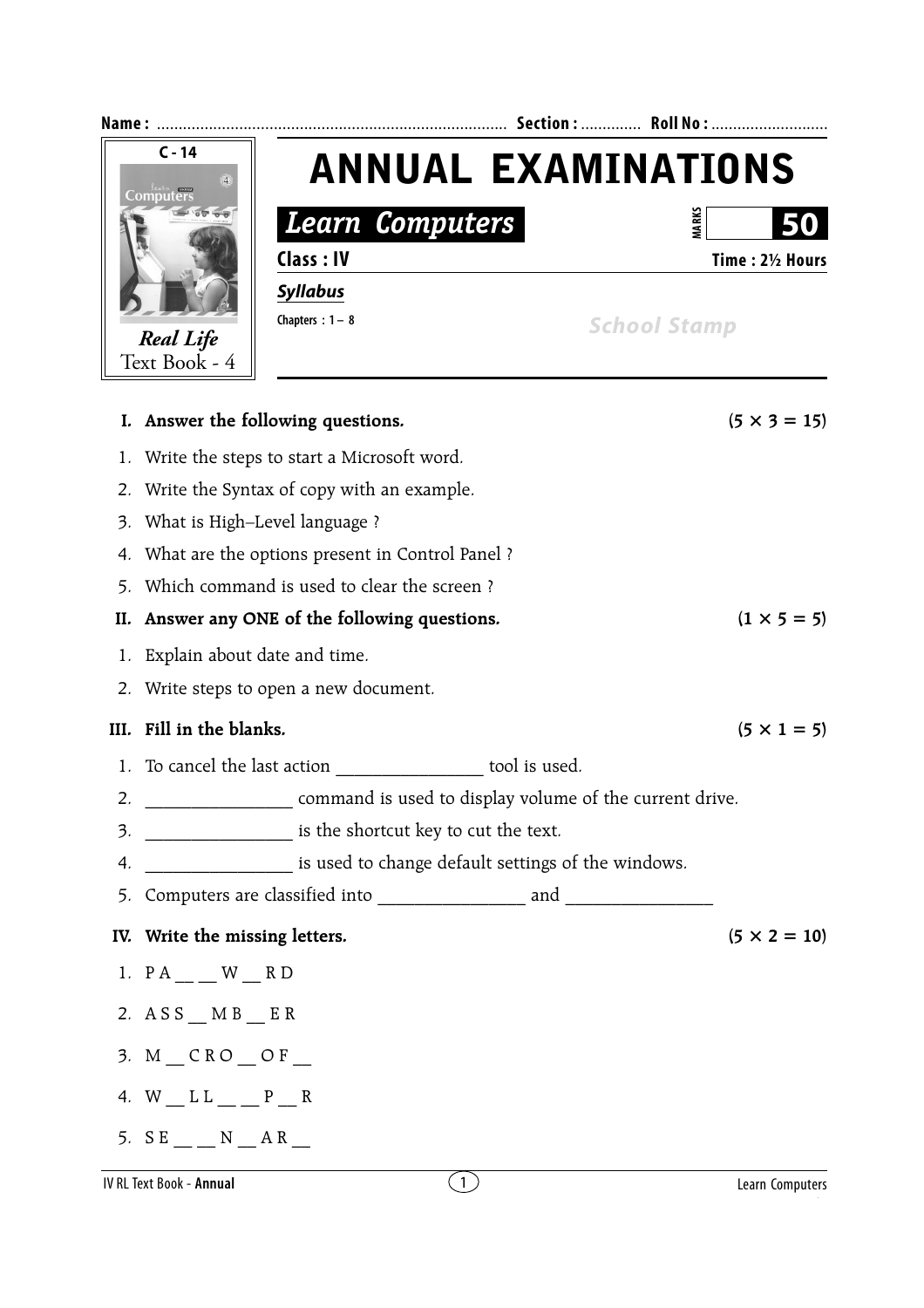| Name:         |                                                                  |                                                                                                            |                  |                     |
|---------------|------------------------------------------------------------------|------------------------------------------------------------------------------------------------------------|------------------|---------------------|
| $C - 14$<br>@ |                                                                  | <b>ANNUAL EXAMINATIONS</b><br><b>Learn Computers</b><br>Class: IV<br><b>Syllabus</b><br>Chapters : $1 - 8$ |                  |                     |
|               |                                                                  |                                                                                                            |                  | <b>VIARKS</b>       |
|               |                                                                  |                                                                                                            |                  | Time: 21/2 Hours    |
|               |                                                                  |                                                                                                            |                  |                     |
|               |                                                                  |                                                                                                            |                  | <b>School Stamp</b> |
|               | <b>Real Life</b><br>Text Book - 4                                |                                                                                                            |                  |                     |
|               |                                                                  |                                                                                                            |                  |                     |
|               |                                                                  | I. Answer the following questions.                                                                         |                  | $(5 \times 3 = 15)$ |
| 1.            | Write the steps to start a Microsoft word.                       |                                                                                                            |                  |                     |
| 2.            | Write the Syntax of copy with an example.                        |                                                                                                            |                  |                     |
| 3.            | What is High-Level language?                                     |                                                                                                            |                  |                     |
| 4.            | What are the options present in Control Panel?                   |                                                                                                            |                  |                     |
| 5.            | Which command is used to clear the screen?                       |                                                                                                            |                  |                     |
| II.           | $(1 \times 5 = 5)$<br>Answer any ONE of the following questions. |                                                                                                            |                  |                     |
| 1.            | Explain about date and time.                                     |                                                                                                            |                  |                     |
|               | 2. Write steps to open a new document.                           |                                                                                                            |                  |                     |
| III.          | Fill in the blanks.                                              |                                                                                                            |                  | $(5 \times 1 = 5)$  |
|               |                                                                  | 1. To cancel the last action tool is used.                                                                 |                  |                     |
| 2.            | command is used to display volume of the current drive.          |                                                                                                            |                  |                     |
| 3.            | is the shortcut key to cut the text.                             |                                                                                                            |                  |                     |
| 4.            | is used to change default settings of the windows.               |                                                                                                            |                  |                     |
| 5.            |                                                                  |                                                                                                            |                  |                     |
|               | IV. Write the missing letters.                                   |                                                                                                            |                  | $(5 \times 2 = 10)$ |
|               | 1. $PA$ _ _ W _ R D                                              |                                                                                                            |                  |                     |
|               | 2. $\angle$ ASS _ MB _ ER                                        |                                                                                                            |                  |                     |
|               | $3. M$ $\_$ CRO $\_$ OF $\_$                                     |                                                                                                            |                  |                     |
|               | 4. W $L L = P$ $R$                                               |                                                                                                            |                  |                     |
|               | 5. $SE$ $N$ $AR$                                                 |                                                                                                            |                  |                     |
|               | IV RL Text Book - Annual                                         |                                                                                                            | $\left(1\right)$ | Learn Computers     |